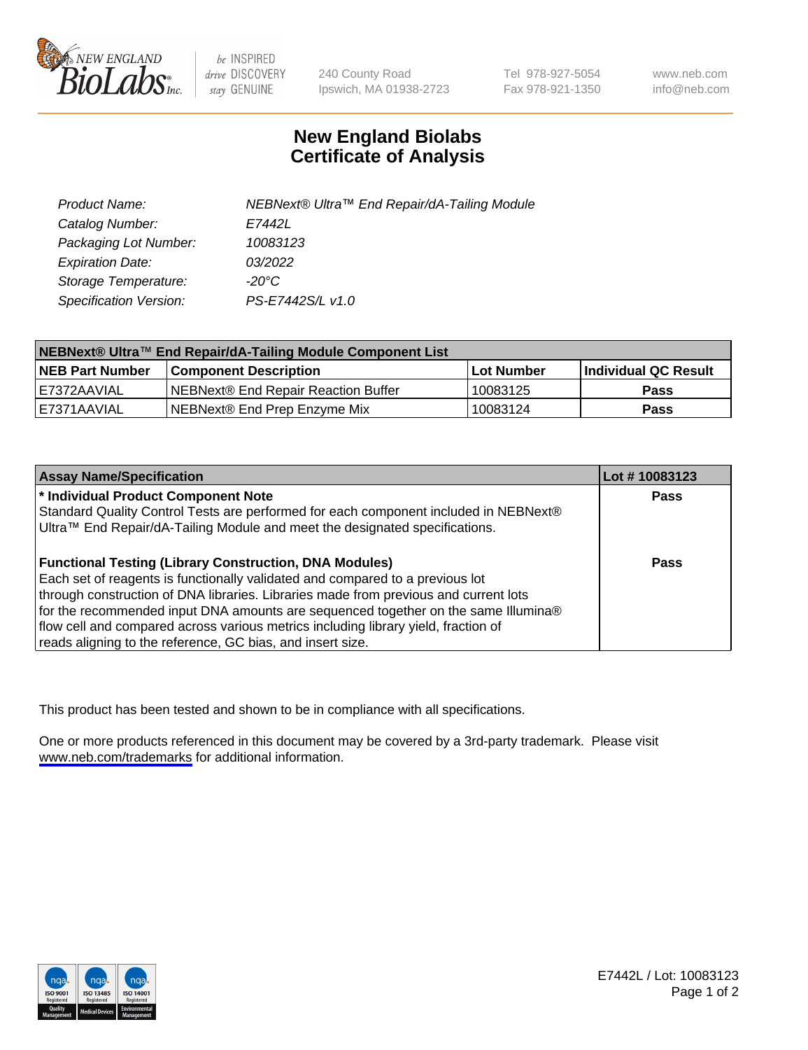

be INSPIRED drive DISCOVERY stay GENUINE

240 County Road Ipswich, MA 01938-2723 Tel 978-927-5054 Fax 978-921-1350

www.neb.com info@neb.com

## **New England Biolabs Certificate of Analysis**

| Product Name:           | NEBNext® Ultra™ End Repair/dA-Tailing Module |
|-------------------------|----------------------------------------------|
| Catalog Number:         | E7442L                                       |
| Packaging Lot Number:   | 10083123                                     |
| <b>Expiration Date:</b> | 03/2022                                      |
| Storage Temperature:    | -20°C                                        |
| Specification Version:  | PS-E7442S/L v1.0                             |

| NEBNext® Ultra™ End Repair/dA-Tailing Module Component List |                                      |                   |                       |  |
|-------------------------------------------------------------|--------------------------------------|-------------------|-----------------------|--|
| <b>NEB Part Number</b>                                      | <b>Component Description</b>         | <b>Lot Number</b> | ∣Individual QC Result |  |
| E7372AAVIAL                                                 | INEBNext® End Repair Reaction Buffer | 10083125          | <b>Pass</b>           |  |
| I E7371AAVIAL                                               | NEBNext® End Prep Enzyme Mix         | 10083124          | <b>Pass</b>           |  |

| <b>Assay Name/Specification</b>                                                      | Lot #10083123 |
|--------------------------------------------------------------------------------------|---------------|
| * Individual Product Component Note                                                  | <b>Pass</b>   |
| Standard Quality Control Tests are performed for each component included in NEBNext® |               |
| Ultra™ End Repair/dA-Tailing Module and meet the designated specifications.          |               |
| <b>Functional Testing (Library Construction, DNA Modules)</b>                        | <b>Pass</b>   |
| Each set of reagents is functionally validated and compared to a previous lot        |               |
| through construction of DNA libraries. Libraries made from previous and current lots |               |
| for the recommended input DNA amounts are sequenced together on the same Illumina®   |               |
| flow cell and compared across various metrics including library yield, fraction of   |               |
| reads aligning to the reference, GC bias, and insert size.                           |               |

This product has been tested and shown to be in compliance with all specifications.

One or more products referenced in this document may be covered by a 3rd-party trademark. Please visit <www.neb.com/trademarks>for additional information.